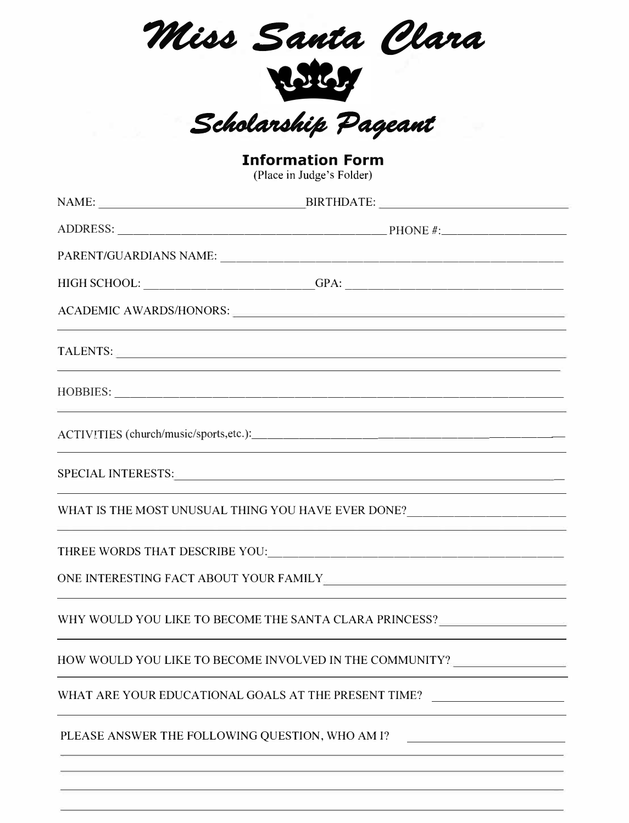| Miss Santa Clara                                                                                                                                                                                                              |
|-------------------------------------------------------------------------------------------------------------------------------------------------------------------------------------------------------------------------------|
|                                                                                                                                                                                                                               |
| Scholarship Pageant                                                                                                                                                                                                           |
| <b>Information Form</b><br>(Place in Judge's Folder)                                                                                                                                                                          |
|                                                                                                                                                                                                                               |
|                                                                                                                                                                                                                               |
|                                                                                                                                                                                                                               |
|                                                                                                                                                                                                                               |
|                                                                                                                                                                                                                               |
| TALENTS:<br>,他们的人们也不能在这里,他们的人们也不能在这里,他们的人们也不能在这里,他们的人们也不能在这里,他们的人们也不能在这里,他们的人们也不能在这里,他们的人们也不                                                                                                                                  |
|                                                                                                                                                                                                                               |
| ACTIVITIES (church/music/sports,etc.):                                                                                                                                                                                        |
| SPECIAL INTERESTS: University of the Contract of the Contract of the Contract of the Contract of the Contract of the Contract of the Contract of the Contract of the Contract of the Contract of the Contract of the Contract |
|                                                                                                                                                                                                                               |
|                                                                                                                                                                                                                               |
| ONE INTERESTING FACT ABOUT YOUR FAMILY $\_\_$                                                                                                                                                                                 |
| WHY WOULD YOU LIKE TO BECOME THE SANTA CLARA PRINCESS?                                                                                                                                                                        |
| HOW WOULD YOU LIKE TO BECOME INVOLVED IN THE COMMUNITY?                                                                                                                                                                       |
| WHAT ARE YOUR EDUCATIONAL GOALS AT THE PRESENT TIME?<br>$\mathcal{L}^{\text{max}}_{\text{max}}$ , where $\mathcal{L}^{\text{max}}_{\text{max}}$ , where $\mathcal{L}^{\text{max}}_{\text{max}}$                               |
| PLEASE ANSWER THE FOLLOWING QUESTION, WHO AM I?                                                                                                                                                                               |
|                                                                                                                                                                                                                               |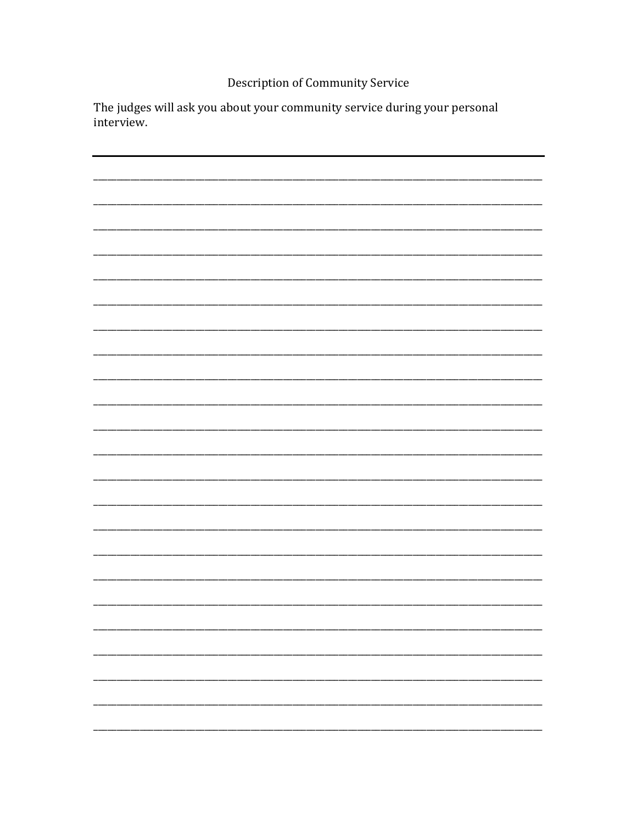# Description of Community Service

The judges will ask you about your community service during your personal interview.

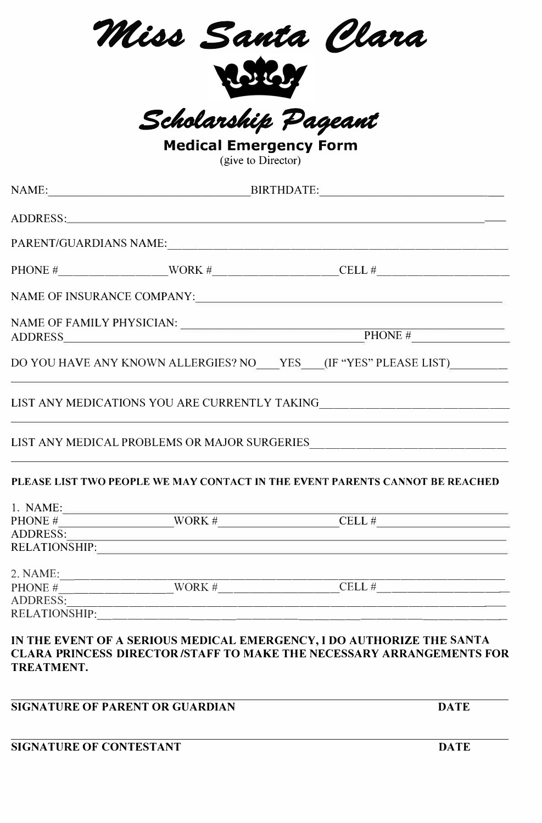|                                                                            |        | Miss Santa Clara                                                                                                                                                                                                               |  |  |  |
|----------------------------------------------------------------------------|--------|--------------------------------------------------------------------------------------------------------------------------------------------------------------------------------------------------------------------------------|--|--|--|
| Scholarship Pageant<br><b>Medical Emergency Form</b><br>(give to Director) |        |                                                                                                                                                                                                                                |  |  |  |
|                                                                            |        |                                                                                                                                                                                                                                |  |  |  |
|                                                                            |        | ADDRESS: Note and the contract of the contract of the contract of the contract of the contract of the contract of the contract of the contract of the contract of the contract of the contract of the contract of the contract |  |  |  |
|                                                                            |        |                                                                                                                                                                                                                                |  |  |  |
|                                                                            |        |                                                                                                                                                                                                                                |  |  |  |
|                                                                            |        |                                                                                                                                                                                                                                |  |  |  |
|                                                                            |        |                                                                                                                                                                                                                                |  |  |  |
|                                                                            |        | DO YOU HAVE ANY KNOWN ALLERGIES? NO YES (IF "YES" PLEASE LIST)                                                                                                                                                                 |  |  |  |
|                                                                            |        | LIST ANY MEDICATIONS YOU ARE CURRENTLY TAKING __________________________________                                                                                                                                               |  |  |  |
|                                                                            |        | LIST ANY MEDICAL PROBLEMS OR MAJOR SURGERIES ___________________________________                                                                                                                                               |  |  |  |
|                                                                            |        | PLEASE LIST TWO PEOPLE WE MAY CONTACT IN THE EVENT PARENTS CANNOT BE REACHED                                                                                                                                                   |  |  |  |
| 1. NAME:<br>PHONE #<br><b>ADDRESS:</b><br><b>RELATIONSHIP:</b>             |        | the control of the control of the con-                                                                                                                                                                                         |  |  |  |
| 2. NAME:<br>PHONE #<br>ADDRESS:<br><b>RELATIONSHIP:</b>                    | WORK # | $\overline{\text{CELL}}$ #                                                                                                                                                                                                     |  |  |  |
| <b>TREATMENT.</b>                                                          |        | IN THE EVENT OF A SERIOUS MEDICAL EMERGENCY, I DO AUTHORIZE THE SANTA<br>CLARA PRINCESS DIRECTOR/STAFF TO MAKE THE NECESSARY ARRANGEMENTS FOR                                                                                  |  |  |  |

| <b>SIGNATURE OF PARENT OR GUARDIAN</b> |  |
|----------------------------------------|--|
|----------------------------------------|--|

## **SIGNATURE OF CONTESTANT DATE**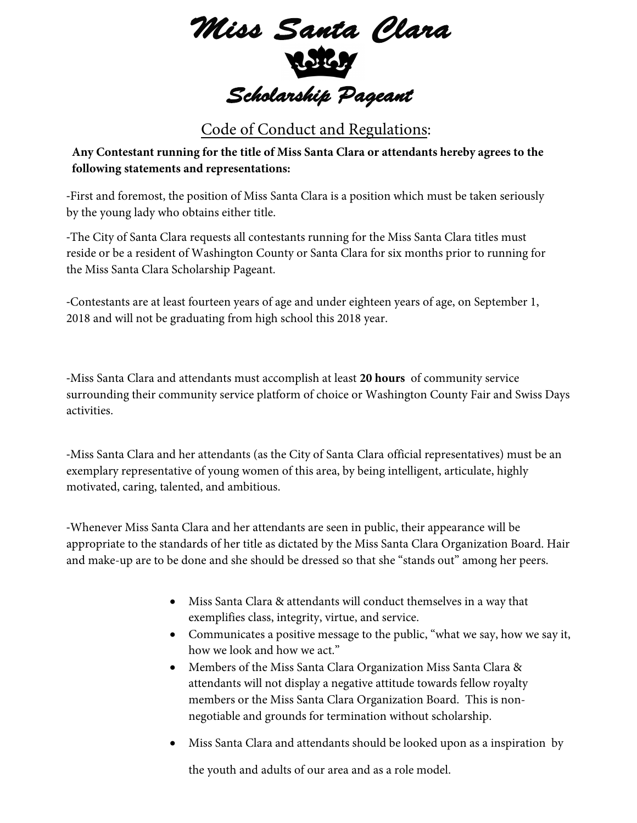*Scholarship Pageant Miss Santa Clara*

# Code of Conduct and Regulations:

**Any Contestant running for the title of Miss Santa Clara or attendants hereby agrees to the following statements and representations:** 

-First and foremost, the position of Miss Santa Clara is a position which must be taken seriously by the young lady who obtains either title.

-The City of Santa Clara requests all contestants running for the Miss Santa Clara titles must reside or be a resident of Washington County or Santa Clara for six months prior to running for the Miss Santa Clara Scholarship Pageant.

-Contestants are at least fourteen years of age and under eighteen years of age, on September 1, 2018 and will not be graduating from high school this 2018 year.

-Miss Santa Clara and attendants must accomplish at least **20 hours** of community service surrounding their community service platform of choice or Washington County Fair and Swiss Days activities.

-Miss Santa Clara and her attendants (as the City of Santa Clara official representatives) must be an exemplary representative of young women of this area, by being intelligent, articulate, highly motivated, caring, talented, and ambitious.

-Whenever Miss Santa Clara and her attendants are seen in public, their appearance will be appropriate to the standards of her title as dictated by the Miss Santa Clara Organization Board. Hair and make-up are to be done and she should be dressed so that she "stands out" among her peers.

- Miss Santa Clara & attendants will conduct themselves in a way that exemplifies class, integrity, virtue, and service.
- Communicates a positive message to the public, "what we say, how we say it, how we look and how we act."
- Members of the Miss Santa Clara Organization Miss Santa Clara & attendants will not display a negative attitude towards fellow royalty members or the Miss Santa Clara Organization Board. This is nonnegotiable and grounds for termination without scholarship.
- Miss Santa Clara and attendants should be looked upon as a inspiration by

the youth and adults of our area and as a role model.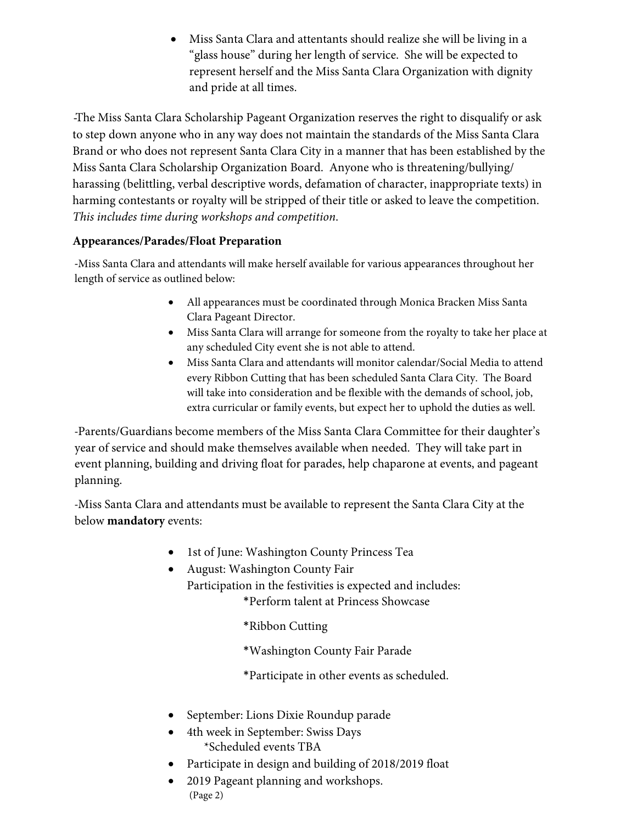Miss Santa Clara and attentants should realize she will be living in a "glass house" during her length of service. She will be expected to represent herself and the Miss Santa Clara Organization with dignity and pride at all times.

- The Miss Santa Clara Scholarship Pageant Organization reserves the right to disqualify or ask to step down anyone who in any way does not maintain the standards of the Miss Santa Clara Brand or who does not represent Santa Clara City in a manner that has been established by the Miss Santa Clara Scholarship Organization Board. Anyone who is threatening/bullying/ harassing (belittling, verbal descriptive words, defamation of character, inappropriate texts) in harming contestants or royalty will be stripped of their title or asked to leave the competition. *This includes time during workshops and competition*.

## **Appearances/Parades/Float Preparation**

-Miss Santa Clara and attendants will make herself available for various appearances throughout her length of service as outlined below:

- All appearances must be coordinated through Monica Bracken Miss Santa Clara Pageant Director.
- Miss Santa Clara will arrange for someone from the royalty to take her place at any scheduled City event she is not able to attend.
- Miss Santa Clara and attendants will monitor calendar/Social Media to attend every Ribbon Cutting that has been scheduled Santa Clara City. The Board will take into consideration and be flexible with the demands of school, job, extra curricular or family events, but expect her to uphold the duties as well.

-Parents/Guardians become members of the Miss Santa Clara Committee for their daughter's year of service and should make themselves available when needed. They will take part in event planning, building and driving float for parades, help chaparone at events, and pageant planning.

-Miss Santa Clara and attendants must be available to represent the Santa Clara City at the below **mandatory** events:

- 1st of June: Washington County Princess Tea
- August: Washington County Fair
	- Participation in the festivities is expected and includes:
		- \*Perform talent at Princess Showcase
		- \*Ribbon Cutting
		- \*Washington County Fair Parade
		- \*Participate in other events as scheduled.
- September: Lions Dixie Roundup parade
- 4th week in September: Swiss Days \*Scheduled events TBA
- Participate in design and building of 2018/2019 float
- 2019 Pageant planning and workshops. (Page 2)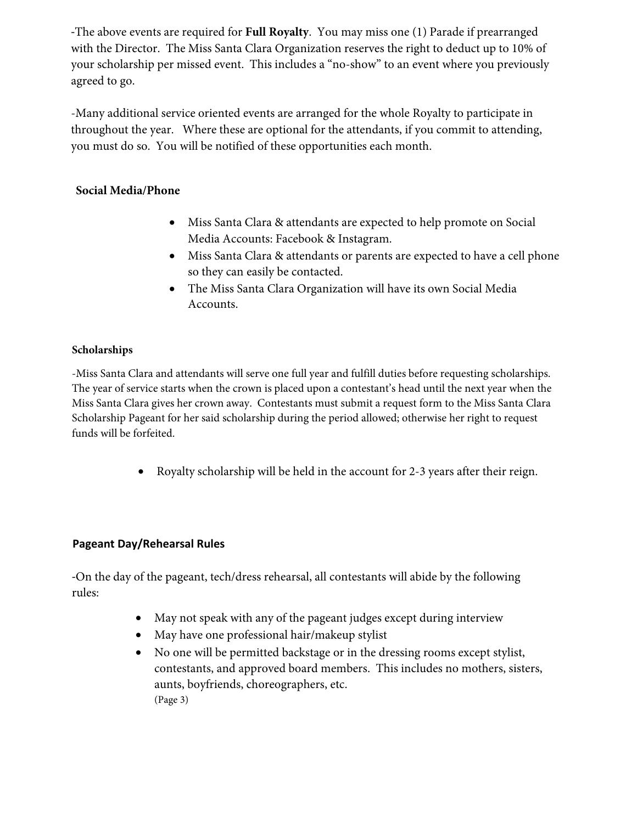-The above events are required for **Full Royalty**. You may miss one (1) Parade if prearranged with the Director. The Miss Santa Clara Organization reserves the right to deduct up to 10% of your scholarship per missed event. This includes a "no-show" to an event where you previously agreed to go.

-Many additional service oriented events are arranged for the whole Royalty to participate in throughout the year. Where these are optional for the attendants, if you commit to attending, you must do so. You will be notified of these opportunities each month.

## **Social Media/Phone**

- Miss Santa Clara & attendants are expected to help promote on Social Media Accounts: Facebook & Instagram.
- Miss Santa Clara & attendants or parents are expected to have a cell phone so they can easily be contacted.
- The Miss Santa Clara Organization will have its own Social Media Accounts.

#### **Scholarships**

-Miss Santa Clara and attendants will serve one full year and fulfill duties before requesting scholarships. The year of service starts when the crown is placed upon a contestant's head until the next year when the Miss Santa Clara gives her crown away. Contestants must submit a request form to the Miss Santa Clara Scholarship Pageant for her said scholarship during the period allowed; otherwise her right to request funds will be forfeited.

• Royalty scholarship will be held in the account for 2-3 years after their reign.

#### **Pageant Day/Rehearsal Rules**

-On the day of the pageant, tech/dress rehearsal, all contestants will abide by the following rules:

- May not speak with any of the pageant judges except during interview
- May have one professional hair/makeup stylist
- No one will be permitted backstage or in the dressing rooms except stylist, contestants, and approved board members. This includes no mothers, sisters, aunts, boyfriends, choreographers, etc. (Page 3)